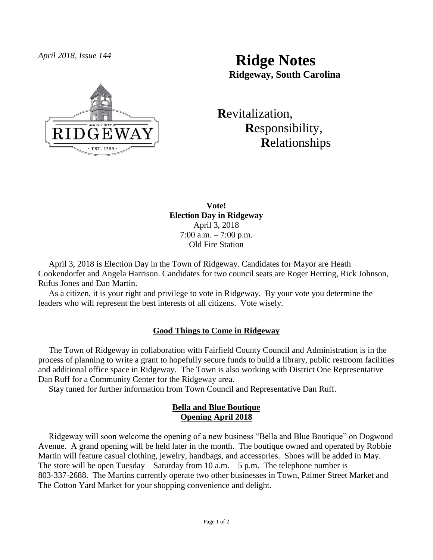

*April 2018, Issue 144* **Ridge Notes Ridgeway, South Carolina**

> **R**evitalization,  **R**esponsibility,  **R**elationships

**Vote! Election Day in Ridgeway** April 3, 2018 7:00 a.m. – 7:00 p.m. Old Fire Station

 April 3, 2018 is Election Day in the Town of Ridgeway. Candidates for Mayor are Heath Cookendorfer and Angela Harrison. Candidates for two council seats are Roger Herring, Rick Johnson, Rufus Jones and Dan Martin.

 As a citizen, it is your right and privilege to vote in Ridgeway. By your vote you determine the leaders who will represent the best interests of all citizens. Vote wisely.

# **Good Things to Come in Ridgeway**

 The Town of Ridgeway in collaboration with Fairfield County Council and Administration is in the process of planning to write a grant to hopefully secure funds to build a library, public restroom facilities and additional office space in Ridgeway. The Town is also working with District One Representative Dan Ruff for a Community Center for the Ridgeway area.

Stay tuned for further information from Town Council and Representative Dan Ruff.

### **Bella and Blue Boutique Opening April 2018**

 Ridgeway will soon welcome the opening of a new business "Bella and Blue Boutique" on Dogwood Avenue. A grand opening will be held later in the month. The boutique owned and operated by Robbie Martin will feature casual clothing, jewelry, handbags, and accessories. Shoes will be added in May. The store will be open Tuesday – Saturday from 10 a.m.  $-5$  p.m. The telephone number is 803-337-2688. The Martins currently operate two other businesses in Town, Palmer Street Market and The Cotton Yard Market for your shopping convenience and delight.